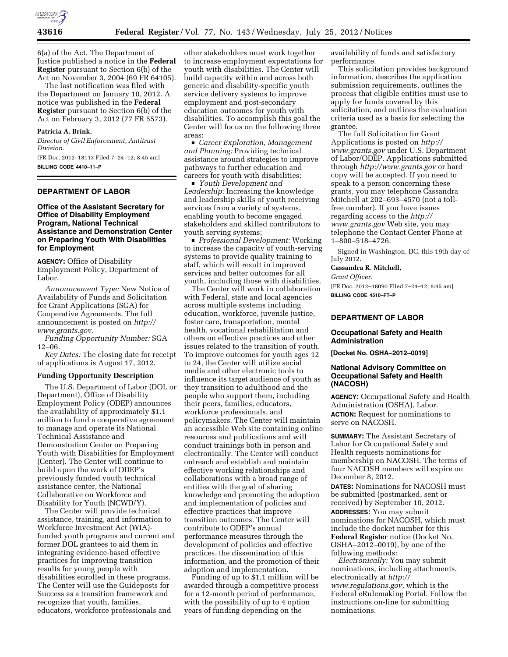

6(a) of the Act. The Department of Justice published a notice in the **Federal Register** pursuant to Section 6(b) of the Act on November 3, 2004 (69 FR 64105).

The last notification was filed with the Department on January 10, 2012. A notice was published in the **Federal Register** pursuant to Section 6(b) of the Act on February 3, 2012 (77 FR 5573).

## **Patricia A. Brink,**

*Director of Civil Enforcement, Antitrust Division.* 

[FR Doc. 2012–18113 Filed 7–24–12; 8:45 am] **BILLING CODE 4410–11–P** 

## **DEPARTMENT OF LABOR**

## **Office of the Assistant Secretary for Office of Disability Employment Program, National Technical Assistance and Demonstration Center on Preparing Youth With Disabilities for Employment**

**AGENCY:** Office of Disability Employment Policy, Department of Labor.

*Announcement Type:* New Notice of Availability of Funds and Solicitation for Grant Applications (SGA) for Cooperative Agreements. The full announcement is posted on *http:// www.grants.gov*.

*Funding Opportunity Number:* SGA 12–06.

*Key Dates:* The closing date for receipt of applications is August 17, 2012.

#### **Funding Opportunity Description**

The U.S. Department of Labor (DOL or Department), Office of Disability Employment Policy (ODEP) announces the availability of approximately \$1.1 million to fund a cooperative agreement to manage and operate its National Technical Assistance and Demonstration Center on Preparing Youth with Disabilities for Employment (Center). The Center will continue to build upon the work of ODEP's previously funded youth technical assistance center, the National Collaborative on Workforce and Disability for Youth (NCWD/Y).

The Center will provide technical assistance, training, and information to Workforce Investment Act (WIA) funded youth programs and current and former DOL grantees to aid them in integrating evidence-based effective practices for improving transition results for young people with disabilities enrolled in these programs. The Center will use the Guideposts for Success as a transition framework and recognize that youth, families, educators, workforce professionals and

other stakeholders must work together to increase employment expectations for youth with disabilities. The Center will build capacity within and across both generic and disability-specific youth service delivery systems to improve employment and post-secondary education outcomes for youth with disabilities. To accomplish this goal the Center will focus on the following three areas:

■ *Career Exploration, Management and Planning:* Providing technical assistance around strategies to improve pathways to further education and careers for youth with disabilities;

■ *Youth Development and Leadership:* Increasing the knowledge and leadership skills of youth receiving services from a variety of systems, enabling youth to become engaged stakeholders and skilled contributors to youth serving systems;

■ *Professional Development:* Working to increase the capacity of youth-serving systems to provide quality training to staff, which will result in improved services and better outcomes for all youth, including those with disabilities.

The Center will work in collaboration with Federal, state and local agencies across multiple systems including education, workforce, juvenile justice, foster care, transportation, mental health, vocational rehabilitation and others on effective practices and other issues related to the transition of youth. To improve outcomes for youth ages 12 to 24, the Center will utilize social media and other electronic tools to influence its target audience of youth as they transition to adulthood and the people who support them, including their peers, families, educators, workforce professionals, and policymakers. The Center will maintain an accessible Web site containing online resources and publications and will conduct trainings both in person and electronically. The Center will conduct outreach and establish and maintain effective working relationships and collaborations with a broad range of entities with the goal of sharing knowledge and promoting the adoption and implementation of policies and effective practices that improve transition outcomes. The Center will contribute to ODEP's annual performance measures through the development of policies and effective practices, the dissemination of this information, and the promotion of their adoption and implementation.

Funding of up to \$1.1 million will be awarded through a competitive process for a 12-month period of performance, with the possibility of up to 4 option years of funding depending on the

availability of funds and satisfactory performance.

This solicitation provides background information, describes the application submission requirements, outlines the process that eligible entities must use to apply for funds covered by this solicitation, and outlines the evaluation criteria used as a basis for selecting the grantee.

The full Solicitation for Grant Applications is posted on *http:// www.grants.gov* under U.S. Department of Labor/ODEP. Applications submitted through *http://www.grants.gov* or hard copy will be accepted. If you need to speak to a person concerning these grants, you may telephone Cassandra Mitchell at 202–693–4570 (not a tollfree number). If you have issues regarding access to the *http:// www.grants.gov* Web site, you may telephone the Contact Center Phone at 1–800–518–4726.

Signed in Washington, DC, this 19th day of July 2012.

**Cassandra R. Mitchell,** 

*Grant Officer.* 

[FR Doc. 2012–18090 Filed 7–24–12; 8:45 am] **BILLING CODE 4510–FT–P** 

### **DEPARTMENT OF LABOR**

## **Occupational Safety and Health Administration**

**[Docket No. OSHA–2012–0019]** 

### **National Advisory Committee on Occupational Safety and Health (NACOSH)**

**AGENCY:** Occupational Safety and Health Administration (OSHA), Labor. **ACTION:** Request for nominations to serve on NACOSH.

**SUMMARY:** The Assistant Secretary of Labor for Occupational Safety and Health requests nominations for membership on NACOSH. The terms of four NACOSH members will expire on December 8, 2012.

**DATES:** Nominations for NACOSH must be submitted (postmarked, sent or received) by September 10, 2012.

**ADDRESSES:** You may submit nominations for NACOSH, which must include the docket number for this **Federal Register** notice (Docket No. OSHA–2012–0019), by one of the following methods:

*Electronically:* You may submit nominations, including attachments, electronically at *http:// www.regulations.gov,* which is the Federal eRulemaking Portal. Follow the instructions on-line for submitting nominations.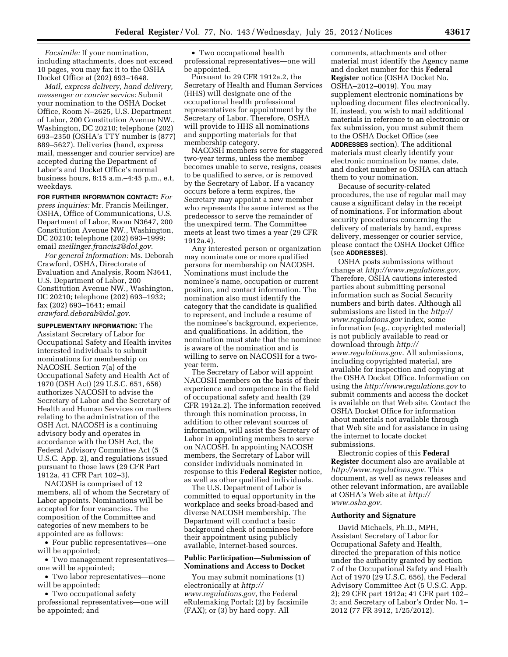*Facsimile:* If your nomination, including attachments, does not exceed 10 pages, you may fax it to the OSHA Docket Office at (202) 693–1648.

*Mail, express delivery, hand delivery, messenger or courier service:* Submit your nomination to the OSHA Docket Office, Room N–2625, U.S. Department of Labor, 200 Constitution Avenue NW., Washington, DC 20210; telephone (202) 693–2350 (OSHA's TTY number is (877) 889–5627). Deliveries (hand, express mail, messenger and courier service) are accepted during the Department of Labor's and Docket Office's normal business hours, 8:15 a.m.–4:45 p.m., e.t, weekdays.

**FOR FURTHER INFORMATION CONTACT:** *For press inquiries:* Mr. Francis Meilinger, OSHA, Office of Communications, U.S. Department of Labor, Room N3647, 200 Constitution Avenue NW., Washington, DC 20210; telephone (202) 693–1999; email *meilinger.francis2@dol.gov*.

*For general information:* Ms. Deborah Crawford, OSHA, Directorate of Evaluation and Analysis, Room N3641, U.S. Department of Labor, 200 Constitution Avenue NW., Washington, DC 20210; telephone (202) 693–1932; fax (202) 693–1641; email *crawford.deborah@dol.gov.* 

**SUPPLEMENTARY INFORMATION:** The Assistant Secretary of Labor for Occupational Safety and Health invites interested individuals to submit nominations for membership on NACOSH. Section 7(a) of the Occupational Safety and Health Act of 1970 (OSH Act) (29 U.S.C. 651, 656) authorizes NACOSH to advise the Secretary of Labor and the Secretary of Health and Human Services on matters relating to the administration of the OSH Act. NACOSH is a continuing advisory body and operates in accordance with the OSH Act, the Federal Advisory Committee Act (5 U.S.C. App. 2), and regulations issued pursuant to those laws (29 CFR Part 1912a, 41 CFR Part 102–3).

NACOSH is comprised of 12 members, all of whom the Secretary of Labor appoints. Nominations will be accepted for four vacancies. The composition of the Committee and categories of new members to be appointed are as follows:

• Four public representatives—one will be appointed;

• Two management representatives one will be appointed;

• Two labor representatives—none will be appointed;

• Two occupational safety professional representatives—one will be appointed; and

• Two occupational health professional representatives—one will be appointed.

Pursuant to 29 CFR 1912a.2, the Secretary of Health and Human Services (HHS) will designate one of the occupational health professional representatives for appointment by the Secretary of Labor. Therefore, OSHA will provide to HHS all nominations and supporting materials for that membership category.

NACOSH members serve for staggered two-year terms, unless the member becomes unable to serve, resigns, ceases to be qualified to serve, or is removed by the Secretary of Labor. If a vacancy occurs before a term expires, the Secretary may appoint a new member who represents the same interest as the predecessor to serve the remainder of the unexpired term. The Committee meets at least two times a year (29 CFR 1912a.4).

Any interested person or organization may nominate one or more qualified persons for membership on NACOSH. Nominations must include the nominee's name, occupation or current position, and contact information. The nomination also must identify the category that the candidate is qualified to represent, and include a resume of the nominee's background, experience, and qualifications. In addition, the nomination must state that the nominee is aware of the nomination and is willing to serve on NACOSH for a twoyear term.

The Secretary of Labor will appoint NACOSH members on the basis of their experience and competence in the field of occupational safety and health (29 CFR 1912a.2). The information received through this nomination process, in addition to other relevant sources of information, will assist the Secretary of Labor in appointing members to serve on NACOSH. In appointing NACOSH members, the Secretary of Labor will consider individuals nominated in response to this **Federal Register** notice, as well as other qualified individuals.

The U.S. Department of Labor is committed to equal opportunity in the workplace and seeks broad-based and diverse NACOSH membership. The Department will conduct a basic background check of nominees before their appointment using publicly available, Internet-based sources.

### **Public Participation—Submission of Nominations and Access to Docket**

You may submit nominations (1) electronically at *http:// www.regulations.gov,* the Federal eRulemaking Portal; (2) by facsimile (FAX); or (3) by hard copy. All

comments, attachments and other material must identify the Agency name and docket number for this **Federal Register** notice (OSHA Docket No. OSHA–2012–0019). You may supplement electronic nominations by uploading document files electronically. If, instead, you wish to mail additional materials in reference to an electronic or fax submission, you must submit them to the OSHA Docket Office (see **ADDRESSES** section). The additional materials must clearly identify your electronic nomination by name, date, and docket number so OSHA can attach them to your nomination.

Because of security-related procedures, the use of regular mail may cause a significant delay in the receipt of nominations. For information about security procedures concerning the delivery of materials by hand, express delivery, messenger or courier service, please contact the OSHA Docket Office (see **ADDRESSES**).

OSHA posts submissions without change at *http://www.regulations.gov*. Therefore, OSHA cautions interested parties about submitting personal information such as Social Security numbers and birth dates. Although all submissions are listed in the *http:// www.regulations.gov* index, some information (e.g., copyrighted material) is not publicly available to read or download through *http:// www.regulations.gov*. All submissions, including copyrighted material, are available for inspection and copying at the OSHA Docket Office. Information on using the *http://www.regulations.gov* to submit comments and access the docket is available on that Web site. Contact the OSHA Docket Office for information about materials not available through that Web site and for assistance in using the internet to locate docket submissions.

Electronic copies of this **Federal Register** document also are available at *http://www.regulations.gov*. This document, as well as news releases and other relevant information, are available at OSHA's Web site at *http:// www.osha.gov*.

### **Authority and Signature**

David Michaels, Ph.D., MPH, Assistant Secretary of Labor for Occupational Safety and Health, directed the preparation of this notice under the authority granted by section 7 of the Occupational Safety and Health Act of 1970 (29 U.S.C. 656), the Federal Advisory Committee Act (5 U.S.C. App. 2); 29 CFR part 1912a; 41 CFR part 102– 3; and Secretary of Labor's Order No. 1– 2012 (77 FR 3912, 1/25/2012).